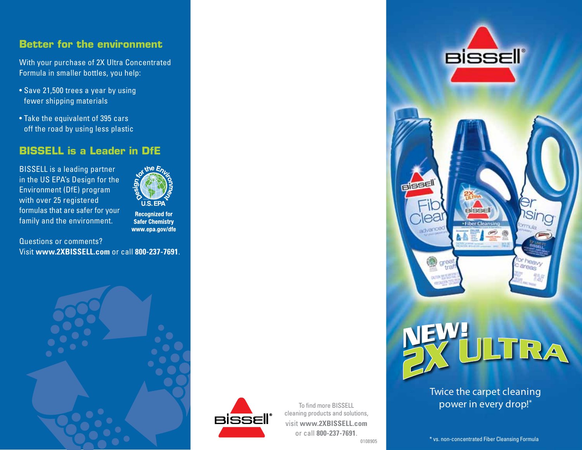## **Better for the environment**

With your purchase of 2X Ultra Concentrated Formula in smaller bottles, you help:

- Save 21,500 trees a year by using fewer shipping materials
- Take the equivalent of 395 cars off the road by using less plastic

# **BISSELL is a Leader in DfE**

BISSELL is a leading partner in the US EPA's Design for the Environment (DfE) program with over 25 registered formulas that are safer for your family and the environment.



**Recognized for Safer Chemistry** www.epa.gov/dfe

Questions or comments? Visit **www.2XBISSELL.com** or call **800-237-7691**.





To find more BISSELL cleaning products and solutions, visit **www.2XBISSELL.com** or call **800-237-7691**.<br> **\*** vs. non-concentrated Fiber Cleansing Formula 0108905





### Twice the carpet cleaning power in every drop!\*